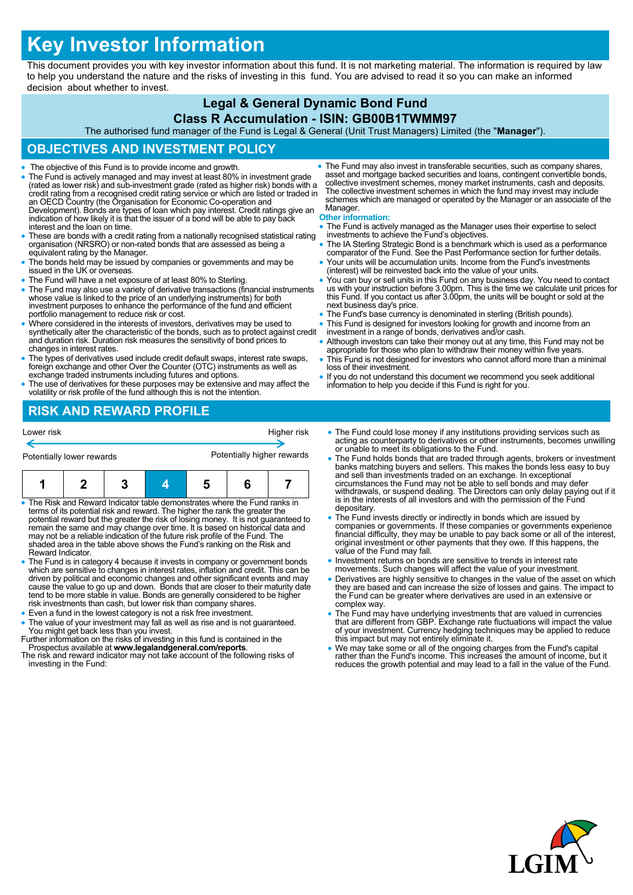# **Key Investor Information**

This document provides you with key investor information about this fund. It is not marketing material. The information is required by law to help you understand the nature and the risks of investing in this fund. You are advised to read it so you can make an informed decision about whether to invest.

## **Legal & General Dynamic Bond Fund**

**Class R Accumulation - ISIN: GB00B1TWMM97**

The authorised fund manager of the Fund is Legal & General (Unit Trust Managers) Limited (the "**Manager**").

#### **OBJECTIVES AND INVESTMENT POLICY**

- The objective of this Fund is to provide income and growth.
- The Fund is actively managed and may invest at least 80% in investment grade (rated as lower risk) and sub-investment grade (rated as higher risk) bonds with a credit rating from a recognised credit rating service or which are listed or traded in an OECD Country (the Organisation for Economic Co-operation and Development). Bonds are types of loan which pay interest. Credit ratings give an indication of how likely it is that the issuer of a bond will be able to pay back interest and the loan on time.
- These are bonds with a credit rating from a nationally recognised statistical rating organisation (NRSRO) or non-rated bonds that are assessed as being a equivalent rating by the Manager.
- The bonds held may be issued by companies or governments and may be issued in the UK or overseas.
- The Fund will have a net exposure of at least 80% to Sterling.
- The Fund may also use a variety of derivative transactions (financial instruments whose value is linked to the price of an underlying instruments) for both investment purposes to enhance the performance of the fund and efficient portfolio management to reduce risk or cost.
- Where considered in the interests of investors, derivatives may be used to synthetically alter the characteristic of the bonds, such as to protect against credit and duration risk. Duration risk measures the sensitivity of bond prices to changes in interest rates.
- The types of derivatives used include credit default swaps, interest rate swaps, foreign exchange and other Over the Counter (OTC) instruments as well as exchange traded instruments including futures and options.
- The use of derivatives for these purposes may be extensive and may affect the volatility or risk profile of the fund although this is not the intention.

 The Fund may also invest in transferable securities, such as company shares, asset and mortgage backed securities and loans, contingent convertible bonds, collective investment schemes, money market instruments, cash and deposits. The collective investment schemes in which the fund may invest may include schemes which are managed or operated by the Manager or an associate of the Manager.

#### **Other information:**

- The Fund is actively managed as the Manager uses their expertise to select investments to achieve the Fund's objectives.
- The IA Sterling Strategic Bond is a benchmark which is used as a performance comparator of the Fund. See the Past Performance section for further details. Your units will be accumulation units. Income from the Fund's investments
- (interest) will be reinvested back into the value of your units.
- You can buy or sell units in this Fund on any business day. You need to contact us with your instruction before 3.00pm. This is the time we calculate unit prices for this Fund. If you contact us after 3.00pm, the units will be bought or sold at the next business day's price.
- The Fund's base currency is denominated in sterling (British pounds).
- This Fund is designed for investors looking for growth and income from an investment in a range of bonds, derivatives and/or cash.
- Although investors can take their money out at any time, this Fund may not be appropriate for those who plan to withdraw their money within five years. This Fund is not designed for investors who cannot afford more than a minimal
- loss of their investment.
- If you do not understand this document we recommend you seek additional information to help you decide if this Fund is right for you.

### **RISK AND REWARD PROFILE**

| Potentially lower rewards |  | Potentially higher rewards |  |             |
|---------------------------|--|----------------------------|--|-------------|
| Lower risk                |  |                            |  | Higher risk |

• The Risk and Reward Indicator table demonstrates where the Fund ranks in<br>terms of its potential risk and reward. The higher the rank the greater the<br>potential reward but the greater the risk of losing money. It is not gu remain the same and may change over time. It is based on historical data and may not be a reliable indication of the future risk profile of the Fund. The shaded area in the table above shows the Fund's ranking on the Risk and Reward Indicator.

- The Fund is in category 4 because it invests in company or government bonds which are sensitive to changes in interest rates, inflation and credit. This can be driven by political and economic changes and other significant events and may cause the value to go up and down. Bonds that are closer to their maturity date tend to be more stable in value. Bonds are generally considered to be higher risk investments than cash, but lower risk than company shares.
- Even a fund in the lowest category is not a risk free investment.
- The value of your investment may fall as well as rise and is not guaranteed. You might get back less than you invest.
- Further information on the risks of investing in this fund is contained in the Prospectus available at **www.legalandgeneral.com/reports**.
- The risk and reward indicator may not take account of the following risks of investing in the Fund:
- The Fund could lose money if any institutions providing services such as acting as counterparty to derivatives or other instruments, becomes unwilling or unable to meet its obligations to the Fund.
- The Fund holds bonds that are traded through agents, brokers or investment banks matching buyers and sellers. This makes the bonds less easy to buy and sell than investments traded on an exchange. In exceptional circumstances the Fund may not be able to sell bonds and may defer withdrawals, or suspend dealing. The Directors can only delay paying out if it is in the interests of all investors and with the permission of the Fund depositary
- The Fund invests directly or indirectly in bonds which are issued by companies or governments. If these companies or governments experience financial difficulty, they may be unable to pay back some or all of the interest, original investment or other payments that they owe. If this happens, the value of the Fund may fall.
- Investment returns on bonds are sensitive to trends in interest rate movements. Such changes will affect the value of your investment.
- Derivatives are highly sensitive to changes in the value of the asset on which they are based and can increase the size of losses and gains. The impact to the Fund can be greater where derivatives are used in an extensive or complex way.
- The Fund may have underlying investments that are valued in currencies<br>that are different from GBP. Exchange rate fluctuations will impact the value<br>of your investment. Currency hedging techniques may be applied to reduc
- We may take some or all of the ongoing charges from the Fund's capital rather than the Fund's income. This increases the amount of income, but it reduces the growth potential and may lead to a fall in the value of the Fund.